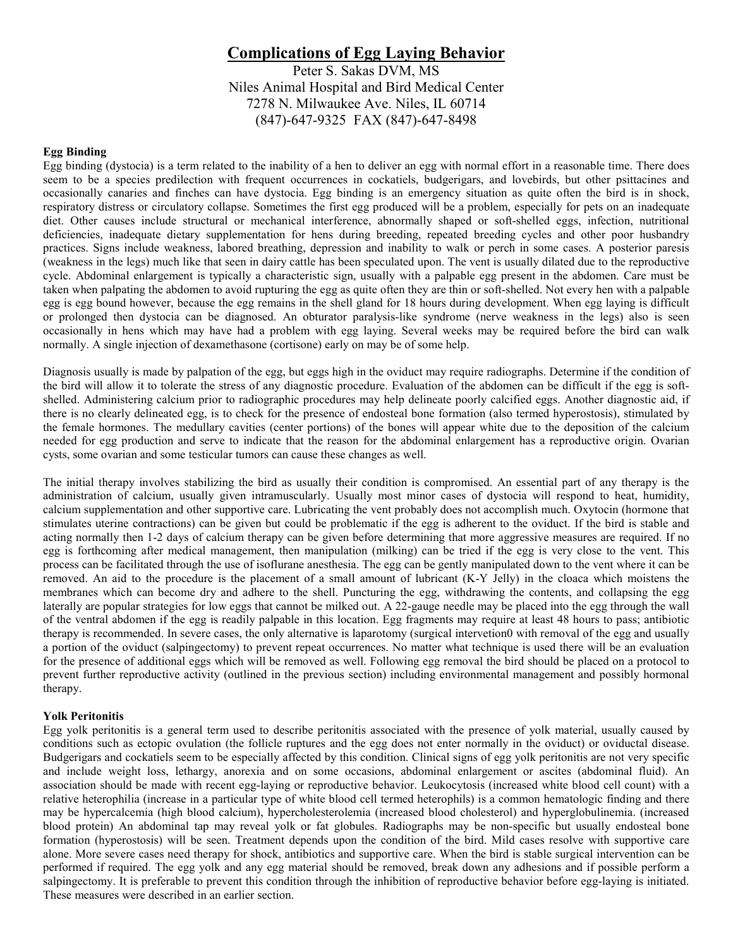# **Complications of Egg Laying Behavior**

Peter S. Sakas DVM, MS Niles Animal Hospital and Bird Medical Center 7278 N. Milwaukee Ave. Niles, IL 60714 (847)-647-9325 FAX (847)-647-8498

## **Egg Binding**

Egg binding (dystocia) is a term related to the inability of a hen to deliver an egg with normal effort in a reasonable time. There does seem to be a species predilection with frequent occurrences in cockatiels, budgerigars, and lovebirds, but other psittacines and occasionally canaries and finches can have dystocia. Egg binding is an emergency situation as quite often the bird is in shock, respiratory distress or circulatory collapse. Sometimes the first egg produced will be a problem, especially for pets on an inadequate diet. Other causes include structural or mechanical interference, abnormally shaped or soft-shelled eggs, infection, nutritional deficiencies, inadequate dietary supplementation for hens during breeding, repeated breeding cycles and other poor husbandry practices. Signs include weakness, labored breathing, depression and inability to walk or perch in some cases. A posterior paresis (weakness in the legs) much like that seen in dairy cattle has been speculated upon. The vent is usually dilated due to the reproductive cycle. Abdominal enlargement is typically a characteristic sign, usually with a palpable egg present in the abdomen. Care must be taken when palpating the abdomen to avoid rupturing the egg as quite often they are thin or soft-shelled. Not every hen with a palpable egg is egg bound however, because the egg remains in the shell gland for 18 hours during development. When egg laying is difficult or prolonged then dystocia can be diagnosed. An obturator paralysis-like syndrome (nerve weakness in the legs) also is seen occasionally in hens which may have had a problem with egg laying. Several weeks may be required before the bird can walk normally. A single injection of dexamethasone (cortisone) early on may be of some help.

Diagnosis usually is made by palpation of the egg, but eggs high in the oviduct may require radiographs. Determine if the condition of the bird will allow it to tolerate the stress of any diagnostic procedure. Evaluation of the abdomen can be difficult if the egg is softshelled. Administering calcium prior to radiographic procedures may help delineate poorly calcified eggs. Another diagnostic aid, if there is no clearly delineated egg, is to check for the presence of endosteal bone formation (also termed hyperostosis), stimulated by the female hormones. The medullary cavities (center portions) of the bones will appear white due to the deposition of the calcium needed for egg production and serve to indicate that the reason for the abdominal enlargement has a reproductive origin. Ovarian cysts, some ovarian and some testicular tumors can cause these changes as well.

The initial therapy involves stabilizing the bird as usually their condition is compromised. An essential part of any therapy is the administration of calcium, usually given intramuscularly. Usually most minor cases of dystocia will respond to heat, humidity, calcium supplementation and other supportive care. Lubricating the vent probably does not accomplish much. Oxytocin (hormone that stimulates uterine contractions) can be given but could be problematic if the egg is adherent to the oviduct. If the bird is stable and acting normally then 1-2 days of calcium therapy can be given before determining that more aggressive measures are required. If no egg is forthcoming after medical management, then manipulation (milking) can be tried if the egg is very close to the vent. This process can be facilitated through the use of isoflurane anesthesia. The egg can be gently manipulated down to the vent where it can be removed. An aid to the procedure is the placement of a small amount of lubricant (K-Y Jelly) in the cloaca which moistens the membranes which can become dry and adhere to the shell. Puncturing the egg, withdrawing the contents, and collapsing the egg laterally are popular strategies for low eggs that cannot be milked out. A 22-gauge needle may be placed into the egg through the wall of the ventral abdomen if the egg is readily palpable in this location. Egg fragments may require at least 48 hours to pass; antibiotic therapy is recommended. In severe cases, the only alternative is laparotomy (surgical intervetion0 with removal of the egg and usually a portion of the oviduct (salpingectomy) to prevent repeat occurrences. No matter what technique is used there will be an evaluation for the presence of additional eggs which will be removed as well. Following egg removal the bird should be placed on a protocol to prevent further reproductive activity (outlined in the previous section) including environmental management and possibly hormonal therapy.

#### **Yolk Peritonitis**

Egg yolk peritonitis is a general term used to describe peritonitis associated with the presence of yolk material, usually caused by conditions such as ectopic ovulation (the follicle ruptures and the egg does not enter normally in the oviduct) or oviductal disease. Budgerigars and cockatiels seem to be especially affected by this condition. Clinical signs of egg yolk peritonitis are not very specific and include weight loss, lethargy, anorexia and on some occasions, abdominal enlargement or ascites (abdominal fluid). An association should be made with recent egg-laying or reproductive behavior. Leukocytosis (increased white blood cell count) with a relative heterophilia (increase in a particular type of white blood cell termed heterophils) is a common hematologic finding and there may be hypercalcemia (high blood calcium), hypercholesterolemia (increased blood cholesterol) and hyperglobulinemia. (increased blood protein) An abdominal tap may reveal yolk or fat globules. Radiographs may be non-specific but usually endosteal bone formation (hyperostosis) will be seen. Treatment depends upon the condition of the bird. Mild cases resolve with supportive care alone. More severe cases need therapy for shock, antibiotics and supportive care. When the bird is stable surgical intervention can be performed if required. The egg yolk and any egg material should be removed, break down any adhesions and if possible perform a salpingectomy. It is preferable to prevent this condition through the inhibition of reproductive behavior before egg-laying is initiated. These measures were described in an earlier section.